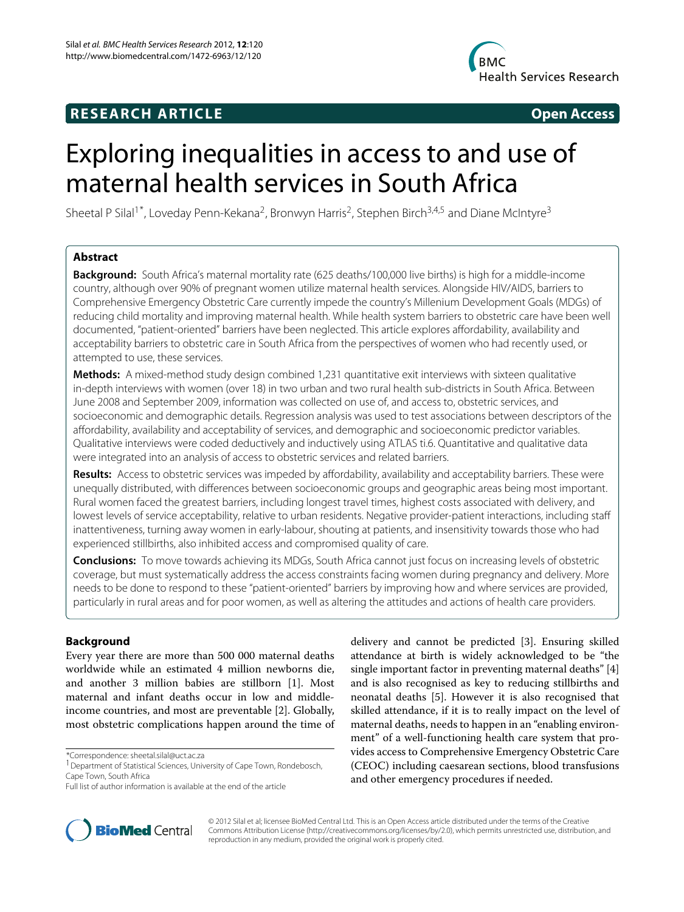## **RESEARCH ARTICLE Open Access**



# Exploring inequalities in access to and use of maternal health services in South Africa

Sheetal P Silal<sup>1\*</sup>, Loveday Penn-Kekana<sup>2</sup>, Bronwyn Harris<sup>2</sup>, Stephen Birch<sup>3,4,5</sup> and Diane McIntyre<sup>3</sup>

## **Abstract**

**Background:** South Africa's maternal mortality rate (625 deaths/100,000 live births) is high for a middle-income country, although over 90% of pregnant women utilize maternal health services. Alongside HIV/AIDS, barriers to Comprehensive Emergency Obstetric Care currently impede the country's Millenium Development Goals (MDGs) of reducing child mortality and improving maternal health. While health system barriers to obstetric care have been well documented, "patient-oriented" barriers have been neglected. This article explores affordability, availability and acceptability barriers to obstetric care in South Africa from the perspectives of women who had recently used, or attempted to use, these services.

**Methods:** A mixed-method study design combined 1,231 quantitative exit interviews with sixteen qualitative in-depth interviews with women (over 18) in two urban and two rural health sub-districts in South Africa. Between June 2008 and September 2009, information was collected on use of, and access to, obstetric services, and socioeconomic and demographic details. Regression analysis was used to test associations between descriptors of the affordability, availability and acceptability of services, and demographic and socioeconomic predictor variables. Qualitative interviews were coded deductively and inductively using ATLAS ti.6. Quantitative and qualitative data were integrated into an analysis of access to obstetric services and related barriers.

**Results:** Access to obstetric services was impeded by affordability, availability and acceptability barriers. These were unequally distributed, with differences between socioeconomic groups and geographic areas being most important. Rural women faced the greatest barriers, including longest travel times, highest costs associated with delivery, and lowest levels of service acceptability, relative to urban residents. Negative provider-patient interactions, including staff inattentiveness, turning away women in early-labour, shouting at patients, and insensitivity towards those who had experienced stillbirths, also inhibited access and compromised quality of care.

**Conclusions:** To move towards achieving its MDGs, South Africa cannot just focus on increasing levels of obstetric coverage, but must systematically address the access constraints facing women during pregnancy and delivery. More needs to be done to respond to these "patient-oriented" barriers by improving how and where services are provided, particularly in rural areas and for poor women, as well as altering the attitudes and actions of health care providers.

## **Background**

Every year there are more than 500 000 maternal deaths worldwide while an estimated 4 million newborns die, and another 3 million babies are stillborn [\[1\]](#page-10-0). Most maternal and infant deaths occur in low and middleincome countries, and most are preventable [\[2\]](#page-10-1). Globally, most obstetric complications happen around the time of

\*Correspondence: sheetal.silal@uct.ac.za

delivery and cannot be predicted [\[3\]](#page-10-2). Ensuring skilled attendance at birth is widely acknowledged to be "the single important factor in preventing maternal deaths" [\[4\]](#page-10-3) and is also recognised as key to reducing stillbirths and neonatal deaths [\[5\]](#page-10-4). However it is also recognised that skilled attendance, if it is to really impact on the level of maternal deaths, needs to happen in an "enabling environment" of a well-functioning health care system that provides access to Comprehensive Emergency Obstetric Care (CEOC) including caesarean sections, blood transfusions and other emergency procedures if needed.



© 2012 Silal et al; licensee BioMed Central Ltd. This is an Open Access article distributed under the terms of the Creative Commons Attribution License (http://creativecommons.org/licenses/by/2.0), which permits unrestricted use, distribution, and reproduction in any medium, provided the original work is properly cited.

<sup>&</sup>lt;sup>1</sup> Department of Statistical Sciences, University of Cape Town, Rondebosch, Cape Town, South Africa

Full list of author information is available at the end of the article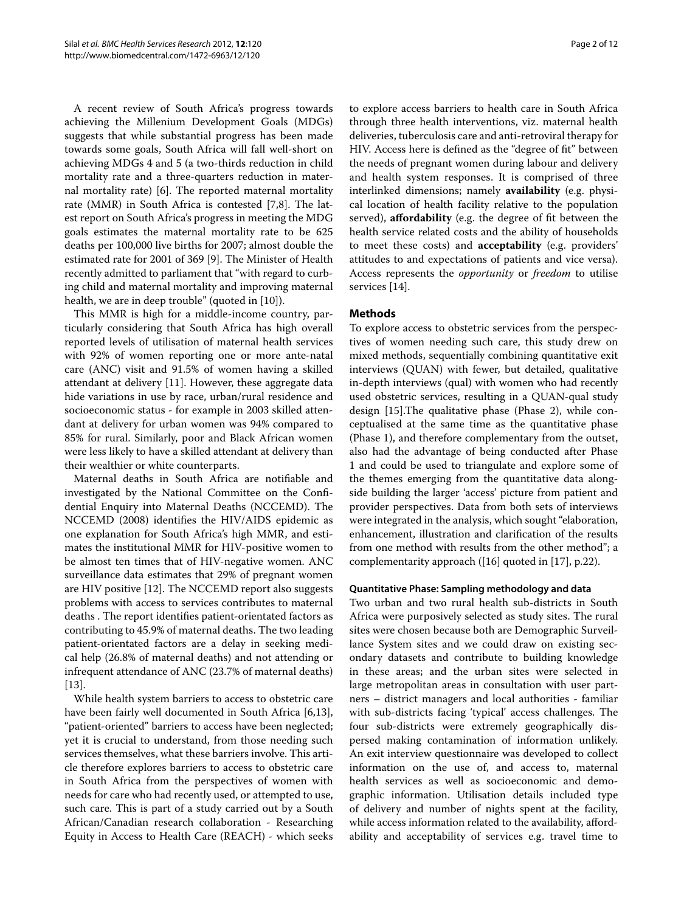A recent review of South Africa's progress towards achieving the Millenium Development Goals (MDGs) suggests that while substantial progress has been made towards some goals, South Africa will fall well-short on achieving MDGs 4 and 5 (a two-thirds reduction in child mortality rate and a three-quarters reduction in maternal mortality rate) [\[6\]](#page-10-5). The reported maternal mortality rate (MMR) in South Africa is contested [\[7](#page-10-6)[,8\]](#page-10-7). The latest report on South Africa's progress in meeting the MDG goals estimates the maternal mortality rate to be 625 deaths per 100,000 live births for 2007; almost double the estimated rate for 2001 of 369 [\[9\]](#page-10-8). The Minister of Health recently admitted to parliament that "with regard to curbing child and maternal mortality and improving maternal health, we are in deep trouble" (quoted in [\[10\]](#page-10-9)).

This MMR is high for a middle-income country, particularly considering that South Africa has high overall reported levels of utilisation of maternal health services with 92% of women reporting one or more ante-natal care (ANC) visit and 91.5% of women having a skilled attendant at delivery [\[11\]](#page-10-10). However, these aggregate data hide variations in use by race, urban/rural residence and socioeconomic status - for example in 2003 skilled attendant at delivery for urban women was 94% compared to 85% for rural. Similarly, poor and Black African women were less likely to have a skilled attendant at delivery than their wealthier or white counterparts.

Maternal deaths in South Africa are notifiable and investigated by the National Committee on the Confidential Enquiry into Maternal Deaths (NCCEMD). The NCCEMD (2008) identifies the HIV/AIDS epidemic as one explanation for South Africa's high MMR, and estimates the institutional MMR for HIV-positive women to be almost ten times that of HIV-negative women. ANC surveillance data estimates that 29% of pregnant women are HIV positive [\[12\]](#page-10-11). The NCCEMD report also suggests problems with access to services contributes to maternal deaths . The report identifies patient-orientated factors as contributing to 45.9% of maternal deaths. The two leading patient-orientated factors are a delay in seeking medical help (26.8% of maternal deaths) and not attending or infrequent attendance of ANC (23.7% of maternal deaths) [\[13\]](#page-10-12).

While health system barriers to access to obstetric care have been fairly well documented in South Africa [\[6,](#page-10-5)[13\]](#page-10-12), "patient-oriented" barriers to access have been neglected; yet it is crucial to understand, from those needing such services themselves, what these barriers involve. This article therefore explores barriers to access to obstetric care in South Africa from the perspectives of women with needs for care who had recently used, or attempted to use, such care. This is part of a study carried out by a South African/Canadian research collaboration - Researching Equity in Access to Health Care (REACH) - which seeks

to explore access barriers to health care in South Africa through three health interventions, viz. maternal health deliveries, tuberculosis care and anti-retroviral therapy for HIV. Access here is defined as the "degree of fit" between the needs of pregnant women during labour and delivery and health system responses. It is comprised of three interlinked dimensions; namely **availability** (e.g. physical location of health facility relative to the population served), **affordability** (e.g. the degree of fit between the health service related costs and the ability of households to meet these costs) and **acceptability** (e.g. providers' attitudes to and expectations of patients and vice versa). Access represents the *opportunity* or *freedom* to utilise services [\[14\]](#page-10-13).

## **Methods**

To explore access to obstetric services from the perspectives of women needing such care, this study drew on mixed methods, sequentially combining quantitative exit interviews (QUAN) with fewer, but detailed, qualitative in-depth interviews (qual) with women who had recently used obstetric services, resulting in a QUAN-qual study design [\[15\]](#page-10-14).The qualitative phase (Phase 2), while conceptualised at the same time as the quantitative phase (Phase 1), and therefore complementary from the outset, also had the advantage of being conducted after Phase 1 and could be used to triangulate and explore some of the themes emerging from the quantitative data alongside building the larger 'access' picture from patient and provider perspectives. Data from both sets of interviews were integrated in the analysis, which sought "elaboration, enhancement, illustration and clarification of the results from one method with results from the other method"; a complementarity approach ([\[16\]](#page-10-15) quoted in [\[17\]](#page-10-16), p.22).

## **Quantitative Phase: Sampling methodology and data**

Two urban and two rural health sub-districts in South Africa were purposively selected as study sites. The rural sites were chosen because both are Demographic Surveillance System sites and we could draw on existing secondary datasets and contribute to building knowledge in these areas; and the urban sites were selected in large metropolitan areas in consultation with user partners – district managers and local authorities - familiar with sub-districts facing 'typical' access challenges. The four sub-districts were extremely geographically dispersed making contamination of information unlikely. An exit interview questionnaire was developed to collect information on the use of, and access to, maternal health services as well as socioeconomic and demographic information. Utilisation details included type of delivery and number of nights spent at the facility, while access information related to the availability, affordability and acceptability of services e.g. travel time to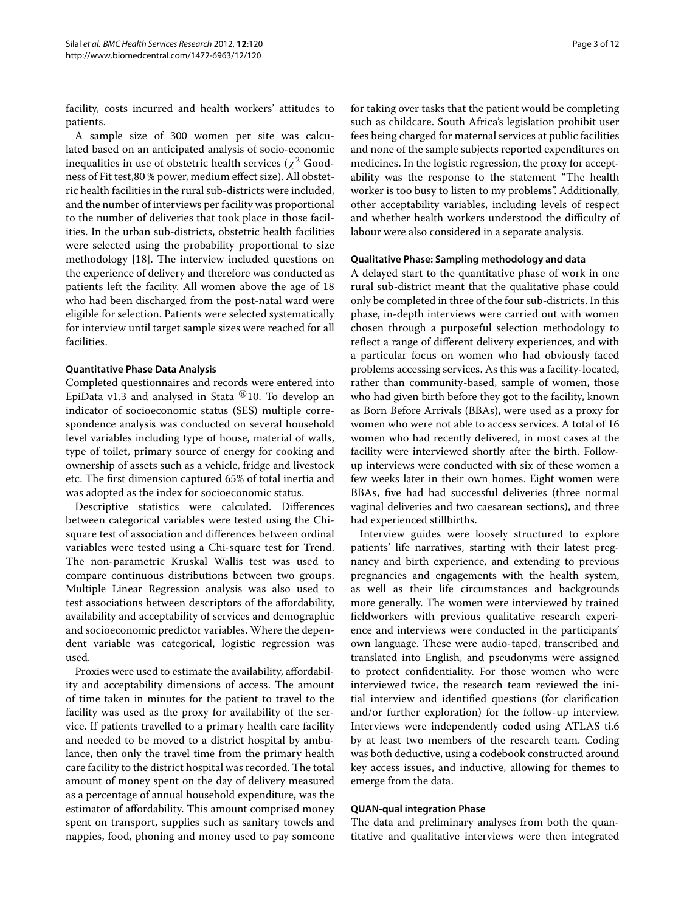facility, costs incurred and health workers' attitudes to patients.

A sample size of 300 women per site was calculated based on an anticipated analysis of socio-economic inequalities in use of obstetric health services (*χ*<sup>2</sup> Goodness of Fit test,80 % power, medium effect size). All obstetric health facilities in the rural sub-districts were included, and the number of interviews per facility was proportional to the number of deliveries that took place in those facilities. In the urban sub-districts, obstetric health facilities were selected using the probability proportional to size methodology [\[18\]](#page-10-17). The interview included questions on the experience of delivery and therefore was conducted as patients left the facility. All women above the age of 18 who had been discharged from the post-natal ward were eligible for selection. Patients were selected systematically for interview until target sample sizes were reached for all facilities.

#### **Quantitative Phase Data Analysis**

Completed questionnaires and records were entered into EpiData v1.3 and analysed in Stata  $^{\circledR}$ 10. To develop an indicator of socioeconomic status (SES) multiple correspondence analysis was conducted on several household level variables including type of house, material of walls, type of toilet, primary source of energy for cooking and ownership of assets such as a vehicle, fridge and livestock etc. The first dimension captured 65% of total inertia and was adopted as the index for socioeconomic status.

Descriptive statistics were calculated. Differences between categorical variables were tested using the Chisquare test of association and differences between ordinal variables were tested using a Chi-square test for Trend. The non-parametric Kruskal Wallis test was used to compare continuous distributions between two groups. Multiple Linear Regression analysis was also used to test associations between descriptors of the affordability, availability and acceptability of services and demographic and socioeconomic predictor variables. Where the dependent variable was categorical, logistic regression was used.

Proxies were used to estimate the availability, affordability and acceptability dimensions of access. The amount of time taken in minutes for the patient to travel to the facility was used as the proxy for availability of the service. If patients travelled to a primary health care facility and needed to be moved to a district hospital by ambulance, then only the travel time from the primary health care facility to the district hospital was recorded. The total amount of money spent on the day of delivery measured as a percentage of annual household expenditure, was the estimator of affordability. This amount comprised money spent on transport, supplies such as sanitary towels and nappies, food, phoning and money used to pay someone

for taking over tasks that the patient would be completing such as childcare. South Africa's legislation prohibit user fees being charged for maternal services at public facilities and none of the sample subjects reported expenditures on medicines. In the logistic regression, the proxy for acceptability was the response to the statement "The health worker is too busy to listen to my problems". Additionally, other acceptability variables, including levels of respect and whether health workers understood the difficulty of labour were also considered in a separate analysis.

#### **Qualitative Phase: Sampling methodology and data**

A delayed start to the quantitative phase of work in one rural sub-district meant that the qualitative phase could only be completed in three of the four sub-districts. In this phase, in-depth interviews were carried out with women chosen through a purposeful selection methodology to reflect a range of different delivery experiences, and with a particular focus on women who had obviously faced problems accessing services. As this was a facility-located, rather than community-based, sample of women, those who had given birth before they got to the facility, known as Born Before Arrivals (BBAs), were used as a proxy for women who were not able to access services. A total of 16 women who had recently delivered, in most cases at the facility were interviewed shortly after the birth. Followup interviews were conducted with six of these women a few weeks later in their own homes. Eight women were BBAs, five had had successful deliveries (three normal vaginal deliveries and two caesarean sections), and three had experienced stillbirths.

Interview guides were loosely structured to explore patients' life narratives, starting with their latest pregnancy and birth experience, and extending to previous pregnancies and engagements with the health system, as well as their life circumstances and backgrounds more generally. The women were interviewed by trained fieldworkers with previous qualitative research experience and interviews were conducted in the participants' own language. These were audio-taped, transcribed and translated into English, and pseudonyms were assigned to protect confidentiality. For those women who were interviewed twice, the research team reviewed the initial interview and identified questions (for clarification and/or further exploration) for the follow-up interview. Interviews were independently coded using ATLAS ti.6 by at least two members of the research team. Coding was both deductive, using a codebook constructed around key access issues, and inductive, allowing for themes to emerge from the data.

#### **QUAN-qual integration Phase**

The data and preliminary analyses from both the quantitative and qualitative interviews were then integrated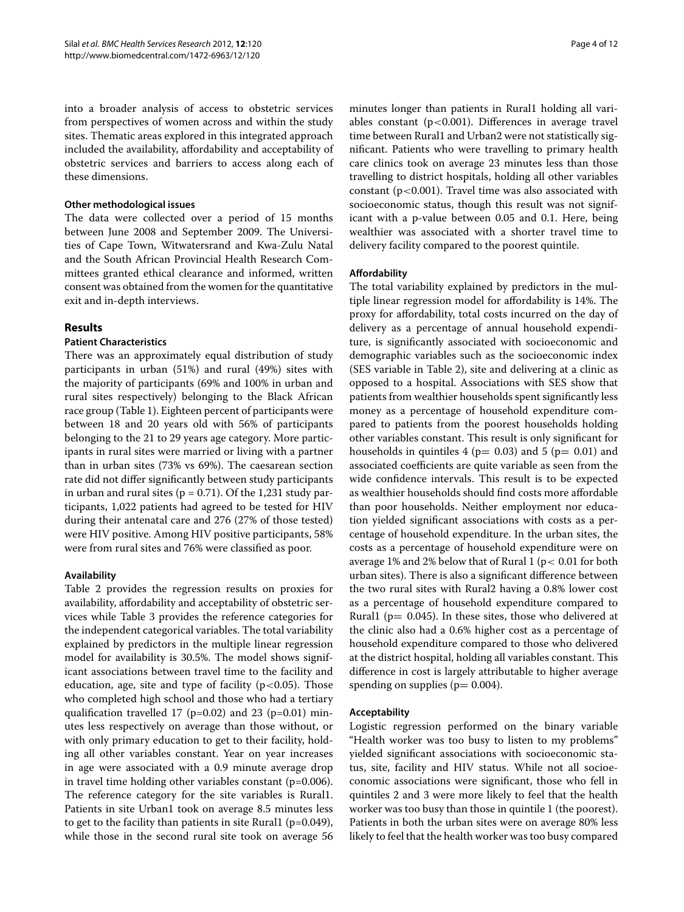into a broader analysis of access to obstetric services from perspectives of women across and within the study sites. Thematic areas explored in this integrated approach included the availability, affordability and acceptability of obstetric services and barriers to access along each of these dimensions.

#### **Other methodological issues**

The data were collected over a period of 15 months between June 2008 and September 2009. The Universities of Cape Town, Witwatersrand and Kwa-Zulu Natal and the South African Provincial Health Research Committees granted ethical clearance and informed, written consent was obtained from the women for the quantitative exit and in-depth interviews.

## **Results**

#### **Patient Characteristics**

There was an approximately equal distribution of study participants in urban (51%) and rural (49%) sites with the majority of participants (69% and 100% in urban and rural sites respectively) belonging to the Black African race group (Table [1\)](#page-4-0). Eighteen percent of participants were between 18 and 20 years old with 56% of participants belonging to the 21 to 29 years age category. More participants in rural sites were married or living with a partner than in urban sites (73% vs 69%). The caesarean section rate did not differ significantly between study participants in urban and rural sites ( $p = 0.71$ ). Of the 1,231 study participants, 1,022 patients had agreed to be tested for HIV during their antenatal care and 276 (27% of those tested) were HIV positive. Among HIV positive participants, 58% were from rural sites and 76% were classified as poor.

## **Availability**

Table [2](#page-5-0) provides the regression results on proxies for availability, affordability and acceptability of obstetric services while Table [3](#page-6-0) provides the reference categories for the independent categorical variables. The total variability explained by predictors in the multiple linear regression model for availability is 30.5%. The model shows significant associations between travel time to the facility and education, age, site and type of facility (p*<*0.05). Those who completed high school and those who had a tertiary qualification travelled 17 ( $p=0.02$ ) and 23 ( $p=0.01$ ) minutes less respectively on average than those without, or with only primary education to get to their facility, holding all other variables constant. Year on year increases in age were associated with a 0.9 minute average drop in travel time holding other variables constant (p=0.006). The reference category for the site variables is Rural1. Patients in site Urban1 took on average 8.5 minutes less to get to the facility than patients in site Rural1 (p=0.049), while those in the second rural site took on average 56 minutes longer than patients in Rural1 holding all variables constant (p*<*0.001). Differences in average travel time between Rural1 and Urban2 were not statistically significant. Patients who were travelling to primary health care clinics took on average 23 minutes less than those travelling to district hospitals, holding all other variables constant (p*<*0.001). Travel time was also associated with socioeconomic status, though this result was not significant with a p-value between 0.05 and 0.1. Here, being wealthier was associated with a shorter travel time to delivery facility compared to the poorest quintile.

#### **Affordability**

The total variability explained by predictors in the multiple linear regression model for affordability is 14%. The proxy for affordability, total costs incurred on the day of delivery as a percentage of annual household expenditure, is significantly associated with socioeconomic and demographic variables such as the socioeconomic index (SES variable in Table [2\)](#page-5-0), site and delivering at a clinic as opposed to a hospital. Associations with SES show that patients from wealthier households spent significantly less money as a percentage of household expenditure compared to patients from the poorest households holding other variables constant. This result is only significant for households in quintiles  $4$  (p= 0.03) and  $5$  (p= 0.01) and associated coefficients are quite variable as seen from the wide confidence intervals. This result is to be expected as wealthier households should find costs more affordable than poor households. Neither employment nor education yielded significant associations with costs as a percentage of household expenditure. In the urban sites, the costs as a percentage of household expenditure were on average 1% and 2% below that of Rural 1 (p*<* 0.01 for both urban sites). There is also a significant difference between the two rural sites with Rural2 having a 0.8% lower cost as a percentage of household expenditure compared to Rural1 ( $p= 0.045$ ). In these sites, those who delivered at the clinic also had a 0.6% higher cost as a percentage of household expenditure compared to those who delivered at the district hospital, holding all variables constant. This difference in cost is largely attributable to higher average spending on supplies ( $p= 0.004$ ).

#### **Acceptability**

Logistic regression performed on the binary variable "Health worker was too busy to listen to my problems" yielded significant associations with socioeconomic status, site, facility and HIV status. While not all socioeconomic associations were significant, those who fell in quintiles 2 and 3 were more likely to feel that the health worker was too busy than those in quintile 1 (the poorest). Patients in both the urban sites were on average 80% less likely to feel that the health worker was too busy compared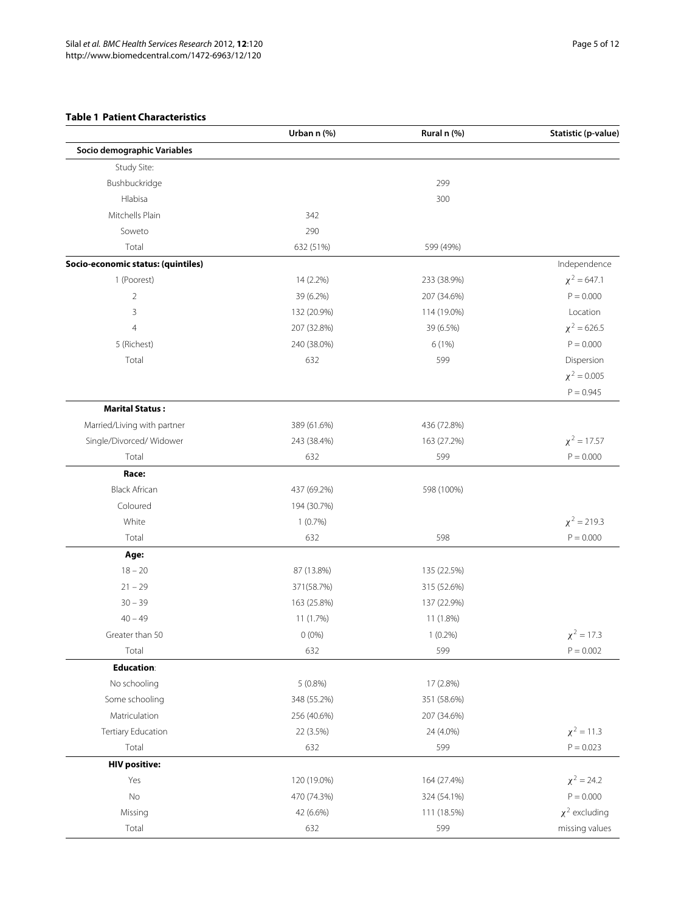## **Table 1 Patient Characteristics**

<span id="page-4-0"></span>

|                                    | Urban n (%) | Rural n (%) | Statistic (p-value) |
|------------------------------------|-------------|-------------|---------------------|
| Socio demographic Variables        |             |             |                     |
| Study Site:                        |             |             |                     |
| Bushbuckridge                      |             | 299         |                     |
| Hlabisa                            |             | 300         |                     |
| Mitchells Plain                    | 342         |             |                     |
| Soweto                             | 290         |             |                     |
| Total                              | 632 (51%)   | 599 (49%)   |                     |
| Socio-economic status: (quintiles) |             |             | Independence        |
| 1 (Poorest)                        | 14 (2.2%)   | 233 (38.9%) | $\chi^2$ = 647.1    |
| $\overline{2}$                     | 39 (6.2%)   | 207 (34.6%) | $P = 0.000$         |
| 3                                  | 132 (20.9%) | 114 (19.0%) | Location            |
| $\overline{4}$                     | 207 (32.8%) | 39 (6.5%)   | $\chi^2$ = 626.5    |
| 5 (Richest)                        | 240 (38.0%) | 6(1%)       | $P = 0.000$         |
| Total                              | 632         | 599         | Dispersion          |
|                                    |             |             | $\chi^2 = 0.005$    |
|                                    |             |             | $P = 0.945$         |
| <b>Marital Status:</b>             |             |             |                     |
| Married/Living with partner        | 389 (61.6%) | 436 (72.8%) |                     |
| Single/Divorced/Widower            | 243 (38.4%) | 163 (27.2%) | $\chi^2 = 17.57$    |
| Total                              | 632         | 599         | $P = 0.000$         |
| Race:                              |             |             |                     |
| <b>Black African</b>               | 437 (69.2%) | 598 (100%)  |                     |
| Coloured                           | 194 (30.7%) |             |                     |
| White                              | $1(0.7\%)$  |             | $\chi^2 = 219.3$    |
| Total                              | 632         | 598         | $P = 0.000$         |
| Age:                               |             |             |                     |
| $18 - 20$                          | 87 (13.8%)  | 135 (22.5%) |                     |
| $21 - 29$                          | 371(58.7%)  | 315 (52.6%) |                     |
| $30 - 39$                          | 163 (25.8%) | 137 (22.9%) |                     |
| $40 - 49$                          | 11 (1.7%)   | 11 (1.8%)   |                     |
| Greater than 50                    | $0(0\%)$    | $1(0.2\%)$  | $\chi^2 = 17.3$     |
| Total                              | 632         | 599         | $P = 0.002$         |
| <b>Education:</b>                  |             |             |                     |
| No schooling                       | $5(0.8\%)$  | 17 (2.8%)   |                     |
| Some schooling                     | 348 (55.2%) | 351 (58.6%) |                     |
| Matriculation                      | 256 (40.6%) | 207 (34.6%) |                     |
| Tertiary Education                 | 22 (3.5%)   | 24 (4.0%)   | $\chi^2 = 11.3$     |
| Total                              | 632         | 599         | $P = 0.023$         |
| <b>HIV positive:</b>               |             |             |                     |
| Yes                                | 120 (19.0%) | 164 (27.4%) | $\chi^2$ = 24.2     |
| No                                 | 470 (74.3%) | 324 (54.1%) | $P = 0.000$         |
| Missing                            | 42 (6.6%)   | 111 (18.5%) | $\chi^2$ excluding  |
| Total                              | 632         | 599         | missing values      |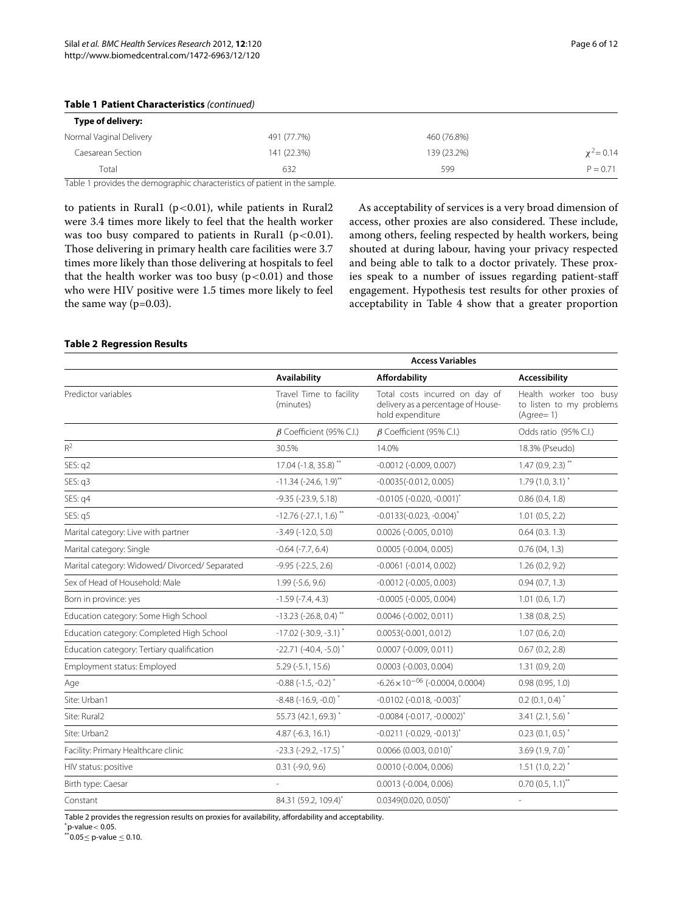| Type of delivery:       |             |             |              |  |
|-------------------------|-------------|-------------|--------------|--|
| Normal Vaginal Delivery | 491 (77.7%) | 460 (76.8%) |              |  |
| Caesarean Section       | 141 (22.3%) | 139 (23.2%) | $x^2$ = 0.14 |  |
| Total                   | 632         | 599         | $P = 0.71$   |  |

## **Table 1 Patient Characteristics** *(continued)*

Table [1](#page-4-0) provides the demographic characteristics of patient in the sample.

to patients in Rural1 (p*<*0.01), while patients in Rural2 were 3.4 times more likely to feel that the health worker was too busy compared to patients in Rural1 (p*<*0.01). Those delivering in primary health care facilities were 3.7 times more likely than those delivering at hospitals to feel that the health worker was too busy (p*<*0.01) and those who were HIV positive were 1.5 times more likely to feel the same way ( $p=0.03$ ).

As acceptability of services is a very broad dimension of access, other proxies are also considered. These include, among others, feeling respected by health workers, being shouted at during labour, having your privacy respected and being able to talk to a doctor privately. These proxies speak to a number of issues regarding patient-staff engagement. Hypothesis test results for other proxies of acceptability in Table [4](#page-6-1) show that a greater proportion

#### <span id="page-5-0"></span>**Table 2 Regression Results**

| Availability                               | <b>Affordability</b>                                                                     | Accessibility                                                      |  |
|--------------------------------------------|------------------------------------------------------------------------------------------|--------------------------------------------------------------------|--|
| Travel Time to facility<br>(minutes)       | Total costs incurred on day of<br>delivery as a percentage of House-<br>hold expenditure | Health worker too busy<br>to listen to my problems<br>$(Aqree= 1)$ |  |
| $\beta$ Coefficient (95% C.I.)             | $\beta$ Coefficient (95% C.I.)                                                           | Odds ratio (95% C.I.)                                              |  |
| 30.5%                                      | 14.0%                                                                                    | 18.3% (Pseudo)                                                     |  |
| 17.04 (-1.8, 35.8) **                      | $-0.0012$ $(-0.009, 0.007)$                                                              | $1.47(0.9, 2.3)$ **                                                |  |
| $-11.34 (-24.6, 1.9)$ **                   | $-0.0035(-0.012, 0.005)$                                                                 | $1.79(1.0, 3.1)^*$                                                 |  |
| $-9.35$ $(-23.9, 5.18)$                    | $-0.0105$ $(-0.020, -0.001)^{*}$                                                         | 0.86(0.4, 1.8)                                                     |  |
| $-12.76$ ( $-27.1$ , 1.6) **               | $-0.0133(-0.023, -0.004)^{*}$                                                            | 1.01(0.5, 2.2)                                                     |  |
| $-3.49(-12.0, 5.0)$                        | $0.0026$ (-0.005, 0.010)                                                                 | 0.64(0.3.1.3)                                                      |  |
| $-0.64$ $(-7.7, 6.4)$                      | $0.0005 (-0.004, 0.005)$                                                                 | 0.76(04, 1.3)                                                      |  |
| $-9.95$ $(-22.5, 2.6)$                     | $-0.0061$ $(-0.014, 0.002)$                                                              | 1.26(0.2, 9.2)                                                     |  |
| $1.99(-5.6, 9.6)$                          | $-0.0012$ $(-0.005, 0.003)$                                                              | 0.94(0.7, 1.3)                                                     |  |
| $-1.59(-7.4, 4.3)$                         | $-0.0005 (-0.005, 0.004)$                                                                | 1.01(0.6, 1.7)                                                     |  |
| $-13.23$ (-26.8, 0.4) **                   | $0.0046$ (-0.002, 0.011)                                                                 | 1.38(0.8, 2.5)                                                     |  |
| $-17.02$ ( $-30.9$ , $-3.1$ ) <sup>*</sup> | $0.0053(-0.001, 0.012)$                                                                  | 1.07(0.6, 2.0)                                                     |  |
| $-22.71$ (-40.4, -5.0) <sup>*</sup>        | $0.0007$ (-0.009, 0.011)                                                                 | 0.67(0.2, 2.8)                                                     |  |
| $5.29(-5.1, 15.6)$                         | $0.0003$ (-0.003, 0.004)                                                                 | 1.31(0.9, 2.0)                                                     |  |
| $-0.88$ ( $-1.5$ , $-0.2$ ) <sup>*</sup>   | $-6.26 \times 10^{-06}$ (-0.0004, 0.0004)                                                | 0.98(0.95, 1.0)                                                    |  |
| $-8.48$ ( $-16.9$ , $-0.0$ ) <sup>*</sup>  | $-0.0102$ $(-0.018, -0.003)^*$                                                           | $0.2$ (0.1, 0.4) <sup>*</sup>                                      |  |
| 55.73 (42.1, 69.3) *                       | $-0.0084$ $(-0.017, -0.0002)^{*}$                                                        | $3.41$ (2.1, 5.6) <sup>*</sup>                                     |  |
| $4.87$ (-6.3, 16.1)                        | $-0.0211 (-0.029, -0.013)^{*}$                                                           | $0.23(0.1, 0.5)$ <sup>*</sup>                                      |  |
| $-23.3$ ( $-29.2$ , $-17.5$ ) <sup>*</sup> | $0.0066$ (0.003, 0.010) <sup>*</sup>                                                     | 3.69(1.9, 7.0)                                                     |  |
| $0.31$ (-9.0, 9.6)                         | $0.0010 (-0.004, 0.006)$                                                                 | $1.51(1.0, 2.2)^{*}$                                               |  |
|                                            | $0.0013$ (-0.004, 0.006)                                                                 | $0.70(0.5, 1.1)$ "                                                 |  |
| 84.31 (59.2, 109.4)*                       | $0.0349(0.020, 0.050)^{*}$                                                               |                                                                    |  |
|                                            |                                                                                          | <b>Access Variables</b>                                            |  |

Table [2](#page-5-0) provides the regression results on proxies for availability, affordability and acceptability.

<span id="page-5-1"></span>\*p-value*<* 0.05.

 $**$ 0.05 $\le$  p-value  $\le$  0.10.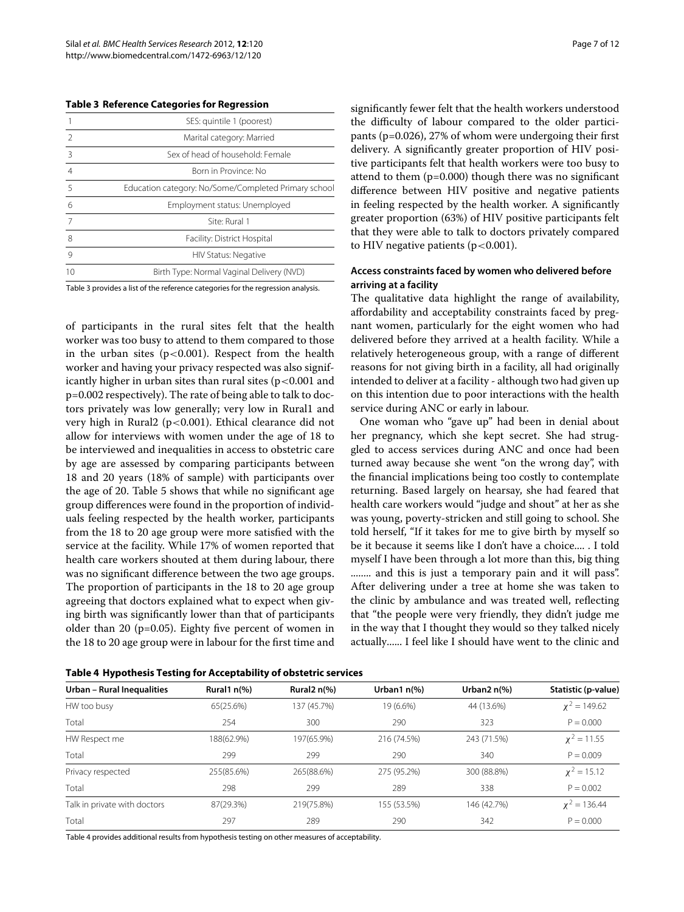<span id="page-6-0"></span>**Table 3 Reference Categories for Regression**

|                | SES: quintile 1 (poorest)                            |
|----------------|------------------------------------------------------|
| $\mathfrak{D}$ | Marital category: Married                            |
| 3              | Sex of head of household: Female                     |
| 4              | Born in Province: No                                 |
| 5              | Education category: No/Some/Completed Primary school |
| 6              | Employment status: Unemployed                        |
|                | Site: Rural 1                                        |
| 8              | Facility: District Hospital                          |
| 9              | HIV Status: Negative                                 |
| 10             | Birth Type: Normal Vaginal Delivery (NVD)            |
|                |                                                      |

Table [3](#page-6-0) provides a list of the reference categories for the regression analysis.

of participants in the rural sites felt that the health worker was too busy to attend to them compared to those in the urban sites (p*<*0.001). Respect from the health worker and having your privacy respected was also significantly higher in urban sites than rural sites (p*<*0.001 and p=0.002 respectively). The rate of being able to talk to doctors privately was low generally; very low in Rural1 and very high in Rural2 (p*<*0.001). Ethical clearance did not allow for interviews with women under the age of 18 to be interviewed and inequalities in access to obstetric care by age are assessed by comparing participants between 18 and 20 years (18% of sample) with participants over the age of 20. Table [5](#page-7-0) shows that while no significant age group differences were found in the proportion of individuals feeling respected by the health worker, participants from the 18 to 20 age group were more satisfied with the service at the facility. While 17% of women reported that health care workers shouted at them during labour, there was no significant difference between the two age groups. The proportion of participants in the 18 to 20 age group agreeing that doctors explained what to expect when giving birth was significantly lower than that of participants older than 20 (p=0.05). Eighty five percent of women in the 18 to 20 age group were in labour for the first time and

|  |  | Table 4 Hypothesis Testing for Acceptability of obstetric services |  |
|--|--|--------------------------------------------------------------------|--|
|  |  |                                                                    |  |

significantly fewer felt that the health workers understood the difficulty of labour compared to the older participants (p=0.026), 27% of whom were undergoing their first delivery. A significantly greater proportion of HIV positive participants felt that health workers were too busy to attend to them (p=0.000) though there was no significant difference between HIV positive and negative patients in feeling respected by the health worker. A significantly greater proportion (63%) of HIV positive participants felt that they were able to talk to doctors privately compared to HIV negative patients (p*<*0.001).

## **Access constraints faced by women who delivered before arriving at a facility**

The qualitative data highlight the range of availability, affordability and acceptability constraints faced by pregnant women, particularly for the eight women who had delivered before they arrived at a health facility. While a relatively heterogeneous group, with a range of different reasons for not giving birth in a facility, all had originally intended to deliver at a facility - although two had given up on this intention due to poor interactions with the health service during ANC or early in labour.

One woman who "gave up" had been in denial about her pregnancy, which she kept secret. She had struggled to access services during ANC and once had been turned away because she went "on the wrong day", with the financial implications being too costly to contemplate returning. Based largely on hearsay, she had feared that health care workers would "judge and shout" at her as she was young, poverty-stricken and still going to school. She told herself, "If it takes for me to give birth by myself so be it because it seems like I don't have a choice.... . I told myself I have been through a lot more than this, big thing ........ and this is just a temporary pain and it will pass". After delivering under a tree at home she was taken to the clinic by ambulance and was treated well, reflecting that "the people were very friendly, they didn't judge me in the way that I thought they would so they talked nicely actually...... I feel like I should have went to the clinic and

<span id="page-6-1"></span>

| . .<br>Urban - Rural Inequalities | . .<br>Rural1 $n$ (%) | Rural $2 \text{ n}$ $\%$ | Urban1 $n$ (%) | Urban2 $n$ (%) | Statistic (p-value) |
|-----------------------------------|-----------------------|--------------------------|----------------|----------------|---------------------|
| HW too busy                       | 65(25.6%)             | 137 (45.7%)              | 19 (6.6%)      | 44 (13.6%)     | $x^2 = 149.62$      |
| Total                             | 254                   | 300                      | 290            | 323            | $P = 0.000$         |
| HW Respect me                     | 188(62.9%)            | 197(65.9%)               | 216 (74.5%)    | 243 (71.5%)    | $x^2 = 11.55$       |
| Total                             | 299                   | 299                      | 290            | 340            | $P = 0.009$         |
| Privacy respected                 | 255(85.6%)            | 265(88.6%)               | 275 (95.2%)    | 300 (88.8%)    | $x^2 = 15.12$       |
| Total                             | 298                   | 299                      | 289            | 338            | $P = 0.002$         |
| Talk in private with doctors      | 87(29.3%)             | 219(75.8%)               | 155 (53.5%)    | 146 (42.7%)    | $\chi^2$ = 136.44   |
| Total                             | 297                   | 289                      | 290            | 342            | $P = 0.000$         |

Table [4](#page-6-1) provides additional results from hypothesis testing on other measures of acceptability.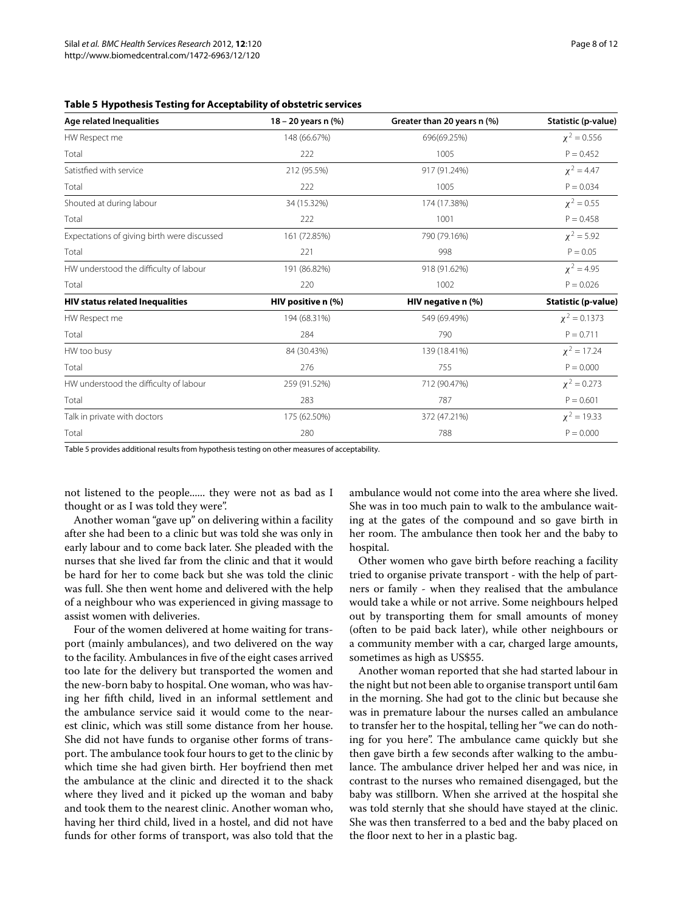| Page 8 of 12 |
|--------------|
|--------------|

<span id="page-7-0"></span>

|  |  |  | Table 5 Hypothesis Testing for Acceptability of obstetric services |
|--|--|--|--------------------------------------------------------------------|
|--|--|--|--------------------------------------------------------------------|

| <b>Age related Inequalities</b>             | 18 - 20 years n (%) | Greater than 20 years n (%)<br>Statistic (p-value) |                            |
|---------------------------------------------|---------------------|----------------------------------------------------|----------------------------|
| HW Respect me                               | 148 (66.67%)        | 696(69.25%)                                        | $\chi^2 = 0.556$           |
| Total                                       | 222                 | 1005                                               | $P = 0.452$                |
| Satistfied with service                     | 212 (95.5%)         | 917 (91.24%)                                       | $\chi^2 = 4.47$            |
| Total                                       | 222                 | 1005                                               | $P = 0.034$                |
| Shouted at during labour                    | 34 (15.32%)         | 174 (17.38%)                                       | $\chi^2 = 0.55$            |
| Total                                       | 222                 | 1001                                               | $P = 0.458$                |
| Expectations of giving birth were discussed | 161 (72.85%)        | 790 (79.16%)                                       | $\chi^2 = 5.92$            |
| Total                                       | 221                 | 998                                                | $P = 0.05$                 |
| HW understood the difficulty of labour      | 191 (86.82%)        | 918 (91.62%)                                       | $\chi^2 = 4.95$            |
| Total                                       | 220                 | 1002                                               | $P = 0.026$                |
| <b>HIV status related Inequalities</b>      | HIV positive n (%)  | HIV negative n (%)                                 | <b>Statistic (p-value)</b> |
| HW Respect me                               | 194 (68.31%)        | 549 (69.49%)                                       | $\chi^2 = 0.1373$          |
| Total                                       | 284                 | 790                                                | $P = 0.711$                |
| HW too busy                                 | 84 (30.43%)         | 139 (18.41%)                                       | $\chi^2 = 17.24$           |
| Total                                       | 276                 | 755                                                | $P = 0.000$                |
| HW understood the difficulty of labour      | 259 (91.52%)        | 712 (90.47%)                                       | $\chi^2 = 0.273$           |
| Total                                       | 283                 | 787                                                | $P = 0.601$                |
| Talk in private with doctors                | 175 (62.50%)        | 372 (47.21%)                                       | $\chi^2 = 19.33$           |
| Total                                       | 280                 | 788                                                | $P = 0.000$                |

Table [5](#page-7-0) provides additional results from hypothesis testing on other measures of acceptability.

not listened to the people...... they were not as bad as I thought or as I was told they were".

Another woman "gave up" on delivering within a facility after she had been to a clinic but was told she was only in early labour and to come back later. She pleaded with the nurses that she lived far from the clinic and that it would be hard for her to come back but she was told the clinic was full. She then went home and delivered with the help of a neighbour who was experienced in giving massage to assist women with deliveries.

Four of the women delivered at home waiting for transport (mainly ambulances), and two delivered on the way to the facility. Ambulances in five of the eight cases arrived too late for the delivery but transported the women and the new-born baby to hospital. One woman, who was having her fifth child, lived in an informal settlement and the ambulance service said it would come to the nearest clinic, which was still some distance from her house. She did not have funds to organise other forms of transport. The ambulance took four hours to get to the clinic by which time she had given birth. Her boyfriend then met the ambulance at the clinic and directed it to the shack where they lived and it picked up the woman and baby and took them to the nearest clinic. Another woman who, having her third child, lived in a hostel, and did not have funds for other forms of transport, was also told that the

ambulance would not come into the area where she lived. She was in too much pain to walk to the ambulance waiting at the gates of the compound and so gave birth in her room. The ambulance then took her and the baby to hospital.

Other women who gave birth before reaching a facility tried to organise private transport - with the help of partners or family - when they realised that the ambulance would take a while or not arrive. Some neighbours helped out by transporting them for small amounts of money (often to be paid back later), while other neighbours or a community member with a car, charged large amounts, sometimes as high as US\$55.

Another woman reported that she had started labour in the night but not been able to organise transport until 6am in the morning. She had got to the clinic but because she was in premature labour the nurses called an ambulance to transfer her to the hospital, telling her "we can do nothing for you here". The ambulance came quickly but she then gave birth a few seconds after walking to the ambulance. The ambulance driver helped her and was nice, in contrast to the nurses who remained disengaged, but the baby was stillborn. When she arrived at the hospital she was told sternly that she should have stayed at the clinic. She was then transferred to a bed and the baby placed on the floor next to her in a plastic bag.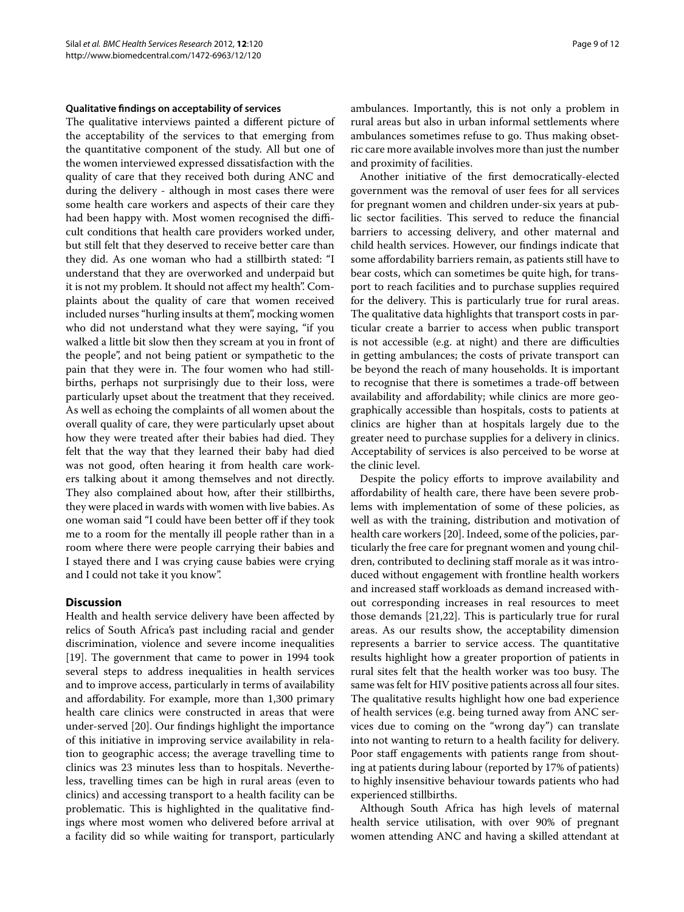#### **Qualitative findings on acceptability of services**

The qualitative interviews painted a different picture of the acceptability of the services to that emerging from the quantitative component of the study. All but one of the women interviewed expressed dissatisfaction with the quality of care that they received both during ANC and during the delivery - although in most cases there were some health care workers and aspects of their care they had been happy with. Most women recognised the difficult conditions that health care providers worked under, but still felt that they deserved to receive better care than they did. As one woman who had a stillbirth stated: "I understand that they are overworked and underpaid but it is not my problem. It should not affect my health". Complaints about the quality of care that women received included nurses "hurling insults at them", mocking women who did not understand what they were saying, "if you walked a little bit slow then they scream at you in front of the people", and not being patient or sympathetic to the pain that they were in. The four women who had stillbirths, perhaps not surprisingly due to their loss, were particularly upset about the treatment that they received. As well as echoing the complaints of all women about the overall quality of care, they were particularly upset about how they were treated after their babies had died. They felt that the way that they learned their baby had died was not good, often hearing it from health care workers talking about it among themselves and not directly. They also complained about how, after their stillbirths, they were placed in wards with women with live babies. As one woman said "I could have been better off if they took me to a room for the mentally ill people rather than in a room where there were people carrying their babies and I stayed there and I was crying cause babies were crying and I could not take it you know".

#### **Discussion**

Health and health service delivery have been affected by relics of South Africa's past including racial and gender discrimination, violence and severe income inequalities [\[19\]](#page-10-18). The government that came to power in 1994 took several steps to address inequalities in health services and to improve access, particularly in terms of availability and affordability. For example, more than 1,300 primary health care clinics were constructed in areas that were under-served [\[20\]](#page-10-19). Our findings highlight the importance of this initiative in improving service availability in relation to geographic access; the average travelling time to clinics was 23 minutes less than to hospitals. Nevertheless, travelling times can be high in rural areas (even to clinics) and accessing transport to a health facility can be problematic. This is highlighted in the qualitative findings where most women who delivered before arrival at a facility did so while waiting for transport, particularly ambulances. Importantly, this is not only a problem in rural areas but also in urban informal settlements where ambulances sometimes refuse to go. Thus making obsetric care more available involves more than just the number and proximity of facilities.

Another initiative of the first democratically-elected government was the removal of user fees for all services for pregnant women and children under-six years at public sector facilities. This served to reduce the financial barriers to accessing delivery, and other maternal and child health services. However, our findings indicate that some affordability barriers remain, as patients still have to bear costs, which can sometimes be quite high, for transport to reach facilities and to purchase supplies required for the delivery. This is particularly true for rural areas. The qualitative data highlights that transport costs in particular create a barrier to access when public transport is not accessible (e.g. at night) and there are difficulties in getting ambulances; the costs of private transport can be beyond the reach of many households. It is important to recognise that there is sometimes a trade-off between availability and affordability; while clinics are more geographically accessible than hospitals, costs to patients at clinics are higher than at hospitals largely due to the greater need to purchase supplies for a delivery in clinics. Acceptability of services is also perceived to be worse at the clinic level.

Despite the policy efforts to improve availability and affordability of health care, there have been severe problems with implementation of some of these policies, as well as with the training, distribution and motivation of health care workers [\[20\]](#page-10-19). Indeed, some of the policies, particularly the free care for pregnant women and young children, contributed to declining staff morale as it was introduced without engagement with frontline health workers and increased staff workloads as demand increased without corresponding increases in real resources to meet those demands [\[21,](#page-10-20)[22\]](#page-10-21). This is particularly true for rural areas. As our results show, the acceptability dimension represents a barrier to service access. The quantitative results highlight how a greater proportion of patients in rural sites felt that the health worker was too busy. The same was felt for HIV positive patients across all four sites. The qualitative results highlight how one bad experience of health services (e.g. being turned away from ANC services due to coming on the "wrong day") can translate into not wanting to return to a health facility for delivery. Poor staff engagements with patients range from shouting at patients during labour (reported by 17% of patients) to highly insensitive behaviour towards patients who had experienced stillbirths.

Although South Africa has high levels of maternal health service utilisation, with over 90% of pregnant women attending ANC and having a skilled attendant at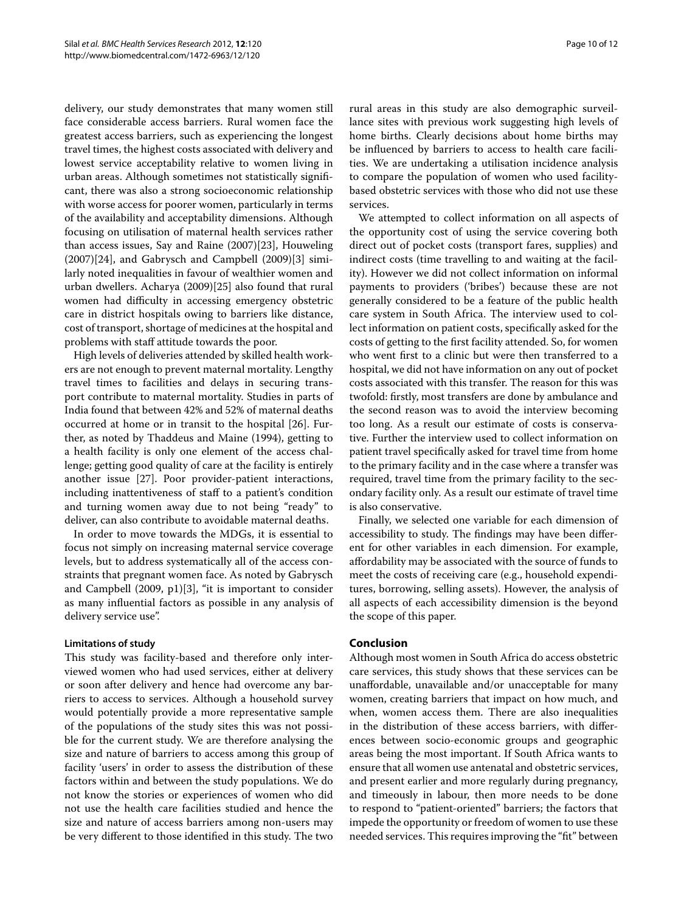delivery, our study demonstrates that many women still face considerable access barriers. Rural women face the greatest access barriers, such as experiencing the longest travel times, the highest costs associated with delivery and lowest service acceptability relative to women living in urban areas. Although sometimes not statistically significant, there was also a strong socioeconomic relationship with worse access for poorer women, particularly in terms of the availability and acceptability dimensions. Although focusing on utilisation of maternal health services rather than access issues, Say and Raine (2007)[\[23\]](#page-10-22), Houweling (2007)[\[24\]](#page-10-23), and Gabrysch and Campbell (2009)[\[3\]](#page-10-2) similarly noted inequalities in favour of wealthier women and urban dwellers. Acharya (2009)[\[25\]](#page-10-24) also found that rural women had difficulty in accessing emergency obstetric care in district hospitals owing to barriers like distance, cost of transport, shortage of medicines at the hospital and problems with staff attitude towards the poor.

High levels of deliveries attended by skilled health workers are not enough to prevent maternal mortality. Lengthy travel times to facilities and delays in securing transport contribute to maternal mortality. Studies in parts of India found that between 42% and 52% of maternal deaths occurred at home or in transit to the hospital [\[26\]](#page-10-25). Further, as noted by Thaddeus and Maine (1994), getting to a health facility is only one element of the access challenge; getting good quality of care at the facility is entirely another issue [\[27\]](#page-11-0). Poor provider-patient interactions, including inattentiveness of staff to a patient's condition and turning women away due to not being "ready" to deliver, can also contribute to avoidable maternal deaths.

In order to move towards the MDGs, it is essential to focus not simply on increasing maternal service coverage levels, but to address systematically all of the access constraints that pregnant women face. As noted by Gabrysch and Campbell (2009, p1)[\[3\]](#page-10-2), "it is important to consider as many influential factors as possible in any analysis of delivery service use".

#### **Limitations of study**

This study was facility-based and therefore only interviewed women who had used services, either at delivery or soon after delivery and hence had overcome any barriers to access to services. Although a household survey would potentially provide a more representative sample of the populations of the study sites this was not possible for the current study. We are therefore analysing the size and nature of barriers to access among this group of facility 'users' in order to assess the distribution of these factors within and between the study populations. We do not know the stories or experiences of women who did not use the health care facilities studied and hence the size and nature of access barriers among non-users may be very different to those identified in this study. The two

rural areas in this study are also demographic surveillance sites with previous work suggesting high levels of home births. Clearly decisions about home births may be influenced by barriers to access to health care facilities. We are undertaking a utilisation incidence analysis to compare the population of women who used facilitybased obstetric services with those who did not use these services.

We attempted to collect information on all aspects of the opportunity cost of using the service covering both direct out of pocket costs (transport fares, supplies) and indirect costs (time travelling to and waiting at the facility). However we did not collect information on informal payments to providers ('bribes') because these are not generally considered to be a feature of the public health care system in South Africa. The interview used to collect information on patient costs, specifically asked for the costs of getting to the first facility attended. So, for women who went first to a clinic but were then transferred to a hospital, we did not have information on any out of pocket costs associated with this transfer. The reason for this was twofold: firstly, most transfers are done by ambulance and the second reason was to avoid the interview becoming too long. As a result our estimate of costs is conservative. Further the interview used to collect information on patient travel specifically asked for travel time from home to the primary facility and in the case where a transfer was required, travel time from the primary facility to the secondary facility only. As a result our estimate of travel time is also conservative.

Finally, we selected one variable for each dimension of accessibility to study. The findings may have been different for other variables in each dimension. For example, affordability may be associated with the source of funds to meet the costs of receiving care (e.g., household expenditures, borrowing, selling assets). However, the analysis of all aspects of each accessibility dimension is the beyond the scope of this paper.

## **Conclusion**

Although most women in South Africa do access obstetric care services, this study shows that these services can be unaffordable, unavailable and/or unacceptable for many women, creating barriers that impact on how much, and when, women access them. There are also inequalities in the distribution of these access barriers, with differences between socio-economic groups and geographic areas being the most important. If South Africa wants to ensure that all women use antenatal and obstetric services, and present earlier and more regularly during pregnancy, and timeously in labour, then more needs to be done to respond to "patient-oriented" barriers; the factors that impede the opportunity or freedom of women to use these needed services. This requires improving the "fit" between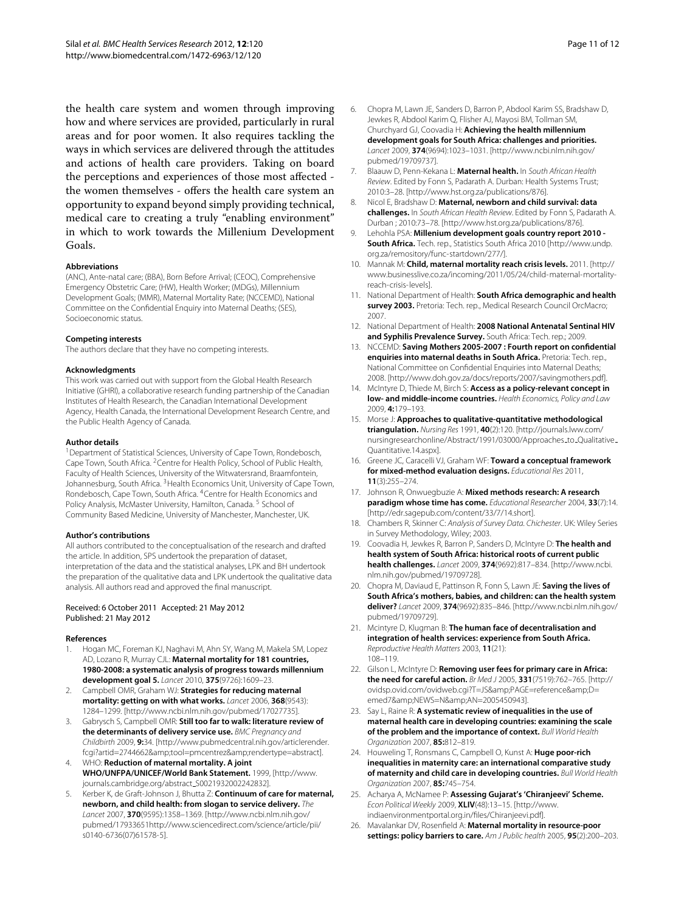the health care system and women through improving how and where services are provided, particularly in rural areas and for poor women. It also requires tackling the ways in which services are delivered through the attitudes and actions of health care providers. Taking on board the perceptions and experiences of those most affected the women themselves - offers the health care system an opportunity to expand beyond simply providing technical, medical care to creating a truly "enabling environment" in which to work towards the Millenium Development Goals.

#### **Abbreviations**

(ANC), Ante-natal care; (BBA), Born Before Arrival; (CEOC), Comprehensive Emergency Obstetric Care; (HW), Health Worker; (MDGs), Millennium Development Goals; (MMR), Maternal Mortality Rate; (NCCEMD), National Committee on the Confidential Enquiry into Maternal Deaths; (SES), Socioeconomic status.

#### **Competing interests**

The authors declare that they have no competing interests.

#### **Acknowledgments**

This work was carried out with support from the Global Health Research Initiative (GHRI), a collaborative research funding partnership of the Canadian Institutes of Health Research, the Canadian International Development Agency, Health Canada, the International Development Research Centre, and the Public Health Agency of Canada.

#### **Author details**

<sup>1</sup> Department of Statistical Sciences, University of Cape Town, Rondebosch, Cape Town, South Africa. <sup>2</sup> Centre for Health Policy, School of Public Health, Faculty of Health Sciences, University of the Witwatersrand, Braamfontein, Johannesburg, South Africa. <sup>3</sup> Health Economics Unit, University of Cape Town, Rondebosch, Cape Town, South Africa. <sup>4</sup>Centre for Health Economics and Policy Analysis, McMaster University, Hamilton, Canada. <sup>5</sup> School of Community Based Medicine, University of Manchester, Manchester, UK.

#### **Author's contributions**

All authors contributed to the conceptualisation of the research and drafted the article. In addition, SPS undertook the preparation of dataset, interpretation of the data and the statistical analyses, LPK and BH undertook the preparation of the qualitative data and LPK undertook the qualitative data analysis. All authors read and approved the final manuscript.

#### Received: 6 October 2011 Accepted: 21 May 2012 Published: 21 May 2012

#### **References**

- <span id="page-10-0"></span>1. Hogan MC, Foreman KJ, Naghavi M, Ahn SY, Wang M, Makela SM, Lopez AD, Lozano R, Murray CJL: **Maternal mortality for 181 countries, 1980-2008: a systematic analysis of progress towards millennium development goal 5.** Lancet 2010, **375**(9726):1609–23.
- <span id="page-10-1"></span>2. Campbell OMR, Graham WJ: **Strategies for reducing maternal mortality: getting on with what works.** Lancet 2006, **368**(9543): 1284–1299. [\[http://www.ncbi.nlm.nih.gov/pubmed/17027735\]](http://www.ncbi.nlm.nih.gov/pubmed/17027735).
- <span id="page-10-2"></span>3. Gabrysch S, Campbell OMR: **Still too far to walk: literature review of the determinants of delivery service use.** BMC Pregnancy and Childbirth 2009, **9:**34. [\[http://www.pubmedcentral.nih.gov/articlerender.](http://www.pubmedcentral.nih.gov/articlerender.fcgi?artid=2744662&tool=pmcentrez&rendertype=abstract) [fcgi?artid=2744662&tool=pmcentrez&rendertype=abstract\]](http://www.pubmedcentral.nih.gov/articlerender.fcgi?artid=2744662&tool=pmcentrez&rendertype=abstract).
- <span id="page-10-3"></span>4. WHO: **Reduction of maternal mortality. A joint WHO/UNFPA/UNICEF/World Bank Statement.** 1999, [\[http://www.](http://www.journals.cambridge.org/abstract_S0021932002242832) [journals.cambridge.org/abstract](http://www.journals.cambridge.org/abstract_S0021932002242832) S0021932002242832].
- <span id="page-10-4"></span>5. Kerber K, de Graft-Johnson J, Bhutta Z: **Continuum of care for maternal, newborn, and child health: from slogan to service delivery.** The Lancet 2007, **370**(9595):1358–1369. [\[http://www.ncbi.nlm.nih.gov/](http://www.ncbi.nlm.nih.gov/pubmed/17933651http://www.sciencedirect.com/science/article/pii/s0140-6736(07)61578-5) [pubmed/17933651http://www.sciencedirect.com/science/article/pii/](http://www.ncbi.nlm.nih.gov/pubmed/17933651http://www.sciencedirect.com/science/article/pii/s0140-6736(07)61578-5) [s0140-6736\(07\)61578-5\]](http://www.ncbi.nlm.nih.gov/pubmed/17933651http://www.sciencedirect.com/science/article/pii/s0140-6736(07)61578-5).
- <span id="page-10-5"></span>Lancet 2009, **374**(9694):1023–1031. [\[http://www.ncbi.nlm.nih.gov/](http://www.ncbi.nlm.nih.gov/pubmed/19709737) [pubmed/19709737\]](http://www.ncbi.nlm.nih.gov/pubmed/19709737). 7. Blaauw D, Penn-Kekana L: **Maternal health.** In South African Health
- <span id="page-10-6"></span>Review. Edited by Fonn S, Padarath A. Durban: Health Systems Trust; 2010:3–28. [\[http://www.hst.org.za/publications/876\]](http://www.hst.org.za/publications/876).
- <span id="page-10-7"></span>8. Nicol E, Bradshaw D: **Maternal, newborn and child survival: data challenges.** In South African Health Review. Edited by Fonn S, Padarath A. Durban ; 2010:73–78. [\[http://www.hst.org.za/publications/876\]](http://www.hst.org.za/publications/876).
- <span id="page-10-8"></span>9. Lehohla PSA: **Millenium development goals country report 2010 - South Africa.** Tech. rep., Statistics South Africa 2010 [\[http://www.undp.](http://www.undp.org.za/remository/func-startdown/277/) [org.za/remository/func-startdown/277/\]](http://www.undp.org.za/remository/func-startdown/277/).
- <span id="page-10-9"></span>10. Mannak M: **Child, maternal mortality reach crisis levels.** 2011. [\[http://](http://www.businesslive.co.za/incoming/2011/05/24/child-maternal-mortality-reach-crisis-levels) [www.businesslive.co.za/incoming/2011/05/24/child-maternal-mortality](http://www.businesslive.co.za/incoming/2011/05/24/child-maternal-mortality-reach-crisis-levels)[reach-crisis-levels\]](http://www.businesslive.co.za/incoming/2011/05/24/child-maternal-mortality-reach-crisis-levels).
- <span id="page-10-10"></span>11. National Department of Health: **South Africa demographic and health survey 2003.** Pretoria: Tech. rep., Medical Research Council OrcMacro; 2007.
- <span id="page-10-11"></span>12. National Department of Health: **2008 National Antenatal Sentinal HIV and Syphilis Prevalence Survey.** South Africa: Tech. rep.; 2009.
- <span id="page-10-12"></span>13. NCCEMD: **Saving Mothers 2005-2007 : Fourth report on confidential enquiries into maternal deaths in South Africa.** Pretoria: Tech. rep., National Committee on Confidential Enquiries into Maternal Deaths; 2008. [\[http://www.doh.gov.za/docs/reports/2007/savingmothers.pdf\]](http://www.doh.gov.za/docs/reports/2007/savingmothers.pdf).
- <span id="page-10-13"></span>14. McIntyre D, Thiede M, Birch S: **Access as a policy-relevant concept in low- and middle-income countries.** Health Economics, Policy and Law 2009, **4:**179–193.
- <span id="page-10-14"></span>15. Morse J: **Approaches to qualitative-quantitative methodological triangulation.** Nursing Res 1991, **40**(2):120. [\[http://journals.lww.com/](http://journals.lww.com/nursingresearchonline/Abstract/1991/03000/Approaches_to_Qualitative_Quantitative.14.aspx) [nursingresearchonline/Abstract/1991/03000/Approaches](http://journals.lww.com/nursingresearchonline/Abstract/1991/03000/Approaches_to_Qualitative_Quantitative.14.aspx) to Qualitative [Quantitative.14.aspx\]](http://journals.lww.com/nursingresearchonline/Abstract/1991/03000/Approaches_to_Qualitative_Quantitative.14.aspx).
- <span id="page-10-15"></span>16. Greene JC, Caracelli VJ, Graham WF: **Toward a conceptual framework for mixed-method evaluation designs.** Educational Res 2011, **11**(3):255–274.
- <span id="page-10-16"></span>17. Johnson R, Onwuegbuzie A: **Mixed methods research: A research paradigm whose time has come.** Educational Researcher 2004, **33**(7):14. [\[http://edr.sagepub.com/content/33/7/14.short\]](http://edr.sagepub.com/content/33/7/14.short).
- <span id="page-10-17"></span>18. Chambers R, Skinner C: Analysis of Survey Data. Chichester. UK: Wiley Series in Survey Methodology, Wiley; 2003.
- <span id="page-10-18"></span>19. Coovadia H, Jewkes R, Barron P, Sanders D, McIntyre D: **The health and health system of South Africa: historical roots of current public health challenges.** Lancet 2009, **374**(9692):817–834. [\[http://www.ncbi.](http://www.ncbi.nlm.nih.gov/pubmed/19709728) [nlm.nih.gov/pubmed/19709728\]](http://www.ncbi.nlm.nih.gov/pubmed/19709728).
- <span id="page-10-19"></span>20. Chopra M, Daviaud E, Pattinson R, Fonn S, Lawn JE: **Saving the lives of South Africa's mothers, babies, and children: can the health system deliver?** Lancet 2009, **374**(9692):835–846. [\[http://www.ncbi.nlm.nih.gov/](http://www.ncbi.nlm.nih.gov/pubmed/19709729) [pubmed/19709729\]](http://www.ncbi.nlm.nih.gov/pubmed/19709729).
- <span id="page-10-20"></span>21. Mcintyre D, Klugman B: **The human face of decentralisation and integration of health services: experience from South Africa.** Reproductive Health Matters 2003, **11**(21): 108–119.
- <span id="page-10-21"></span>22. Gilson L, McIntyre D: **Removing user fees for primary care in Africa: the need for careful action.** Br Med J 2005, **331**(7519):762–765. [\[http://](http://ovidsp.ovid.com/ovidweb.cgi?T=JS&PAGE=reference&D=emed7&NEWS=N&AN=2005450943) [ovidsp.ovid.com/ovidweb.cgi?T=JS&PAGE=reference&D=](http://ovidsp.ovid.com/ovidweb.cgi?T=JS&PAGE=reference&D=emed7&NEWS=N&AN=2005450943) [emed7&NEWS=N&AN=2005450943\]](http://ovidsp.ovid.com/ovidweb.cgi?T=JS&PAGE=reference&D=emed7&NEWS=N&AN=2005450943).
- <span id="page-10-22"></span>Say L, Raine R: A systematic review of inequalities in the use of **maternal health care in developing countries: examining the scale of the problem and the importance of context.** Bull World Health Organization 2007, **85:**812–819.
- <span id="page-10-23"></span>24. Houweling T, Ronsmans C, Campbell O, Kunst A: **Huge poor-rich inequalities in maternity care: an international comparative study of maternity and child care in developing countries.** Bull World Health Organization 2007, **85:**745–754.
- <span id="page-10-24"></span>25. Acharya A, McNamee P: **Assessing Gujarat's 'Chiranjeevi' Scheme.** Econ Political Weekly 2009, **XLIV**(48):13–15. [\[http://www.](http://www.indiaenvironmentportal.org.in/files/Chiranjeevi.pdf) [indiaenvironmentportal.org.in/files/Chiranjeevi.pdf\]](http://www.indiaenvironmentportal.org.in/files/Chiranjeevi.pdf).
- <span id="page-10-25"></span>26. Mavalankar DV, Rosenfield A: **Maternal mortality in resource-poor settings: policy barriers to care.** Am J Public health 2005, **95**(2):200–203.